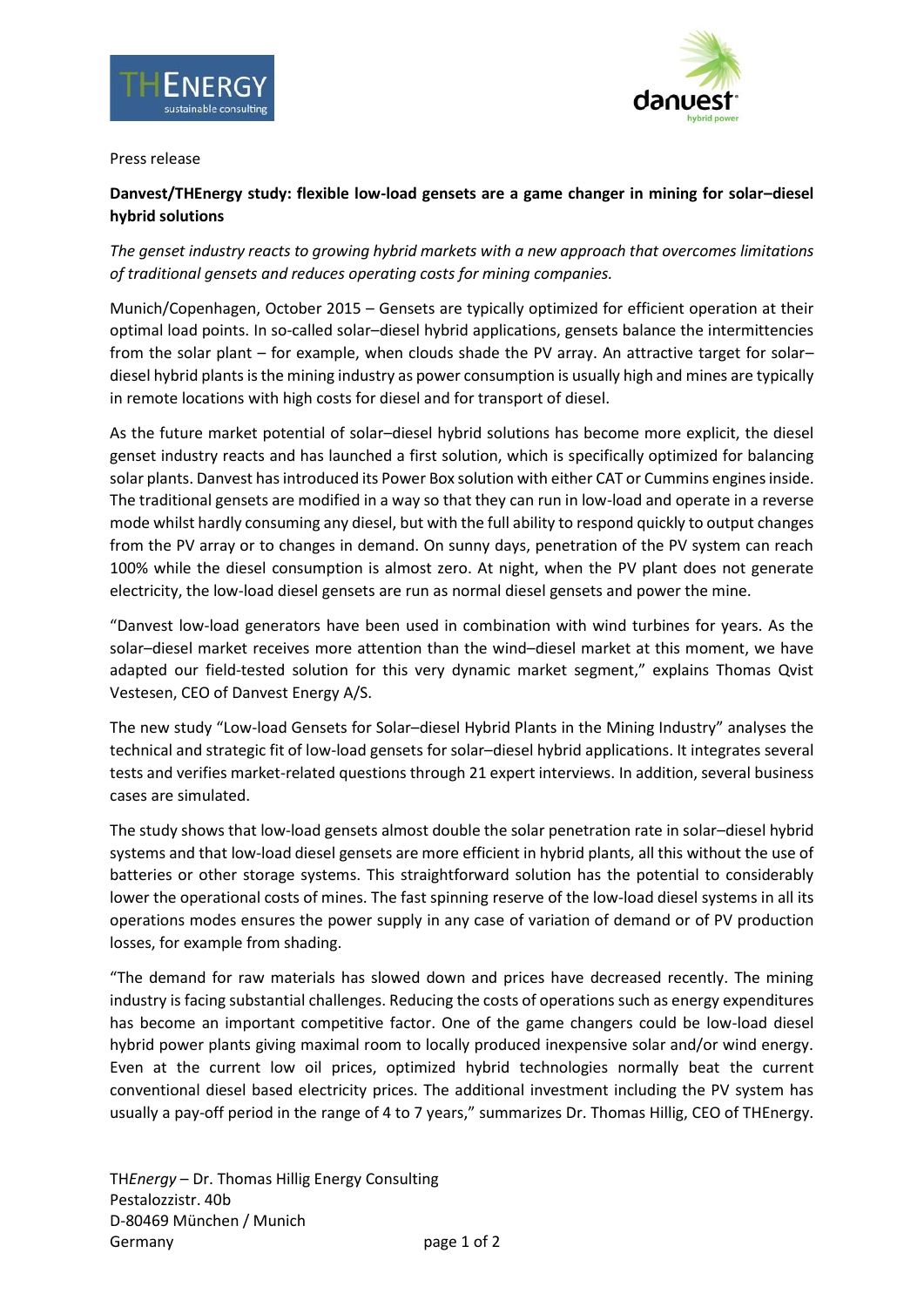



#### Press release

# **Danvest/THEnergy study: flexible low-load gensets are a game changer in mining for solar–diesel hybrid solutions**

*The genset industry reacts to growing hybrid markets with a new approach that overcomes limitations of traditional gensets and reduces operating costs for mining companies.*

Munich/Copenhagen, October 2015 – Gensets are typically optimized for efficient operation at their optimal load points. In so-called solar–diesel hybrid applications, gensets balance the intermittencies from the solar plant – for example, when clouds shade the PV array. An attractive target for solar– diesel hybrid plants is the mining industry as power consumption is usually high and mines are typically in remote locations with high costs for diesel and for transport of diesel.

As the future market potential of solar–diesel hybrid solutions has become more explicit, the diesel genset industry reacts and has launched a first solution, which is specifically optimized for balancing solar plants. Danvest has introduced its Power Box solution with either CAT or Cummins enginesinside. The traditional gensets are modified in a way so that they can run in low-load and operate in a reverse mode whilst hardly consuming any diesel, but with the full ability to respond quickly to output changes from the PV array or to changes in demand. On sunny days, penetration of the PV system can reach 100% while the diesel consumption is almost zero. At night, when the PV plant does not generate electricity, the low-load diesel gensets are run as normal diesel gensets and power the mine.

"Danvest low-load generators have been used in combination with wind turbines for years. As the solar–diesel market receives more attention than the wind–diesel market at this moment, we have adapted our field-tested solution for this very dynamic market segment," explains Thomas Qvist Vestesen, CEO of Danvest Energy A/S.

The new study "Low-load Gensets for Solar–diesel Hybrid Plants in the Mining Industry" analyses the technical and strategic fit of low-load gensets for solar–diesel hybrid applications. It integrates several tests and verifies market-related questions through 21 expert interviews. In addition, several business cases are simulated.

The study shows that low-load gensets almost double the solar penetration rate in solar–diesel hybrid systems and that low-load diesel gensets are more efficient in hybrid plants, all this without the use of batteries or other storage systems. This straightforward solution has the potential to considerably lower the operational costs of mines. The fast spinning reserve of the low-load diesel systems in all its operations modes ensures the power supply in any case of variation of demand or of PV production losses, for example from shading.

"The demand for raw materials has slowed down and prices have decreased recently. The mining industry is facing substantial challenges. Reducing the costs of operations such as energy expenditures has become an important competitive factor. One of the game changers could be low-load diesel hybrid power plants giving maximal room to locally produced inexpensive solar and/or wind energy. Even at the current low oil prices, optimized hybrid technologies normally beat the current conventional diesel based electricity prices. The additional investment including the PV system has usually a pay-off period in the range of 4 to 7 years," summarizes Dr. Thomas Hillig, CEO of THEnergy.

TH*Energy* – Dr. Thomas Hillig Energy Consulting Pestalozzistr. 40b D-80469 München / Munich Germany page 1 of 2